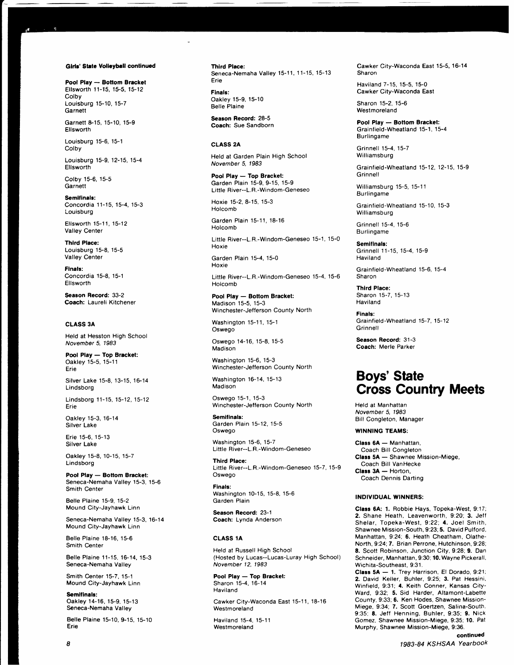#### Girls' State Volleyball continued

Pool Play - Bottom Bracket Eflsworth 11-15, 15-5. 15-12 **Colby** Louisburg 15-10, 15-7 **Garnett** 

Garnett 8-15, 15-10, 15-9 Ellsworth

Louisburg 15-6, 15-1 Colby

a,

Louisburg 15-9, 12-15, 15-4 **Ellsworth** 

Colby 15-6, 15-5 **Garnett** 

Semifinals: Concordia 11-15, 15-4, 15-3 Louisburg

Ellsworth 15-11, 15-12 Valley Center

Thlrd Place: Louisburg 15-8, 15-5 Valley Center

Flnals: Concordia 15-8, 15-1 Ellsworth

Season Record: 33-2 Coach: Laureli Kitchener

## CLASS 3A

Held at Hesston High School November 5, 1983

Pool Play - Top Bracket: Oakley 15-5, 15-1 1 Erie

Silver Lake 15-8, 13-15, 16-14 Lindsborg

Lindsborg 11-15, 15-12, 15-12 Erie

Oakley 15-3, 16-14 Silver Lake

Erie 15-6,15-13 Silver Lake

Oakley 15-8, 10-15, 15-7 Lindsborg

Pool Play - Bottom Bracket: Seneca-Nemaha Valley 15-3, 15-6 Smith Center

Belle Plaine 15-9, 15-2 Mound City-Jayhawk Linn

Seneca-Nemaha Valley 15-3, 16-14 Mound City-Jayhawk Linn

Belle Plaine 18-16, 15-6 Smith Center

Belle Plaine 11-15, 16-14, 15-3 Seneca-Nemaha Valley

Smith Center 15-7, 15-1 Mound City-Jayhawk Linn

Semifinals: Oakley'14-16, 15-9, 15-13 Seneca-Nemaha Valley

Belle Plaine 15-10, 9-15, 15-10 Erie

Third Place: Seneca-Nemaha Valley 15-11, 11-15, 15-13 Erie

Finals: Oakley 15-9, 15-10 Belle Plaine

Season Record: 28-5 Coach: Sue Sandborn

## CLASS 2A

Held at Garden Plain High School November 5, 1983

Pool Play - Top Bracket: Garden Plain 15-9, 9-15, 15-9 Little River--L. R.-Windom-Geneseo

Hoxie 15-2, 8-15, 15-3 Holcomb

Garden Plain 15-11, 18-16 Holcomb

Little River--L.R.-Windom-Geneseo 15-1, 15-0 Hoxie

Garden Plain 15-4, 15-0 Hoxie

Little River--L.R.-Windom-Geneseo 15-4, 15-6 Holcomb

Pool Play - Bottom Bracket: Madison 15-5, 15-3 Winchester-Jefferson County North

Washington 15-11, 15-1 Oswego

Oswego 14-16, 15-8, 15-5 Madison

Washington 15-6, 15-3 Winchester-Jefferson County North

Washington 16-14, 15-13 Madison

Oswego 15-1, 15-3 Winchester-Jefferson County North

Semifinals: Garden Plain 15-12, 15-5 Oswego

Washington 15-6, 15-7 Little River--L.R.-Windom-Geneseo

Third Place: Little River--L.R.-Windom-Geneseo 15-7, 15-9 Oswego

Finals: Washington 10-15, 15-8, 15-6 Garden Plain

Season Record: 23-1 Coach: Lynda Anderson

#### CLASS 1A

Held at Russell High School (Hosted by Lucas--Lucas-Luray High School) November 12,1983

Pool Play - Top Bracket: Sharon 15-4.16-14 Haviland

Cawker City-Waconda East 15-11, 18-16 **Westmoreland** 

Haviland 15-4, 15-11 Westmoreland

Cawker City-Waconda East 15-5, 16-14 Sharon

Haviland 7-15. 15-5. 15-0 Cawker City-Waconda East

Sharon 15-2, 15-6 Westmoreland

Pool Play - Bottom Bracket: Grainfield-Wheatland 15-1, 15-4 Burlingame

Grinnell 15-4,15-7 Williamsburg

Grainfield-Wheatland 15-12, 12-15, 15-9 **Grinnell** 

Williamsburg 15-5, 15-11 Burlingame

Grainfield-Wheatland 15-10, 15-3 Williamsburg

Grinnell 15-4, 15-6 Burlingame

Semifinals: Grinnell 11-15, 15-4, 15-9 Haviland

Grainfield-Wheatland 15-6, 15-4 Sharon

Third Place: Sharon 15-7, 15-13 Haviland

Finals: Grainfield-Wheatland 15-7, 15-12 Grinnell

Season Record: 31-3 Coach: Merle Parker

# **Boys' State** Cross Country Meets

Held at Manhattan November 5, 1983 Bill Congleton, Manager

### WINNING TEAMS:

Class 6A - Manhattan, Coach Bill Congleton Class 5A - Shawnee Mission-Miege, Coach Bill VanHecke  $Class 3A - Hotton,$ **Coach Dennis Darting** 

#### INDIVIDUAL WINNERS:

Class 6A: 1. Robbie Hays, Topeka-West, 9:17; 2. Shane Heath. Leavenworth, 9:20: 3. Jeff Shelar, Topeka-West, 9:22; 4. Joel Smith, Shawnee Mission-South, 9:23: 5. David Pulford, Manhattan, 9 24; 6. Heath Cheatham, Olathe-North, 9:24; 7. Brian Perrone, Hutchinson, 9:28; 8. Scott Robinson, Junction City, 9:28; 9. Dan Schneider, Manhattan, 9:30; 10. Wayne Pickerall, Wichita-Southeast, 9:31.

Class 5A - 1. Trey Harrison, El Dorado, 9:21; 2. David Keller, Buhler, 9:25; 3. Pat Hessini, Winfield, 9:31; 4. Keith Conner, Kansas City-Ward. 9:32: 5. Sid Harder, Altamont-Labette County, 9:33; 6. Ken Hodes, Shawnee Mission-Miege, 9:34: 7. Scott Goertzen, Salina-South, 9:35; 8. Jeff Henning, Buhler, 9:35; 9. Nick Gomez, Shawnee Mission-Miege, 9;35; 10. Pat Murphy, Shawnee Mission-Miege, 9:36.